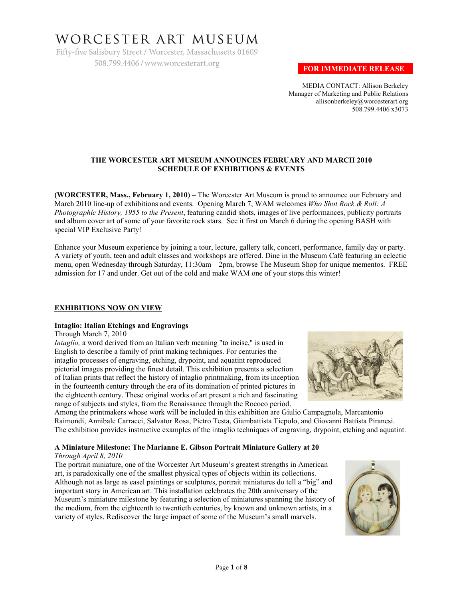# WORCESTER ART MUSEUM

Fifty-five Salisbury Street / Worcester, Massachusetts 01609 508.799.4406 / www.worcesterart.org

## **FOR IMMEDIATE RELEASE**

MEDIA CONTACT: Allison Berkeley Manager of Marketing and Public Relations allisonberkeley@worcesterart.org 508.799.4406 x3073

## **THE WORCESTER ART MUSEUM ANNOUNCES FEBRUARY AND MARCH 2010 SCHEDULE OF EXHIBITIONS & EVENTS**

**(WORCESTER, Mass., February 1, 2010)** – The Worcester Art Museum is proud to announce our February and March 2010 line-up of exhibitions and events. Opening March 7, WAM welcomes *Who Shot Rock & Roll: A Photographic History, 1955 to the Present*, featuring candid shots, images of live performances, publicity portraits and album cover art of some of your favorite rock stars. See it first on March 6 during the opening BASH with special VIP Exclusive Party!

Enhance your Museum experience by joining a tour, lecture, gallery talk, concert, performance, family day or party. A variety of youth, teen and adult classes and workshops are offered. Dine in the Museum Café featuring an eclectic menu, open Wednesday through Saturday, 11:30am – 2pm, browse The Museum Shop for unique mementos. FREE admission for 17 and under. Get out of the cold and make WAM one of your stops this winter!

## **EXHIBITIONS NOW ON VIEW**

## **Intaglio: Italian Etchings and Engravings**

Through March 7, 2010

*Intaglio*, a word derived from an Italian verb meaning "to incise," is used in English to describe a family of print making techniques. For centuries the intaglio processes of engraving, etching, drypoint, and aquatint reproduced pictorial images providing the finest detail. This exhibition presents a selection of Italian prints that reflect the history of intaglio printmaking, from its inception in the fourteenth century through the era of its domination of printed pictures in the eighteenth century. These original works of art present a rich and fascinating range of subjects and styles, from the Renaissance through the Rococo period.



Among the printmakers whose work will be included in this exhibition are Giulio Campagnola, Marcantonio Raimondi, Annibale Carracci, Salvator Rosa, Pietro Testa, Giambattista Tiepolo, and Giovanni Battista Piranesi. The exhibition provides instructive examples of the intaglio techniques of engraving, drypoint, etching and aquatint.

## **A Miniature Milestone: The Marianne E. Gibson Portrait Miniature Gallery at 20**

*Through April 8, 2010*

The portrait miniature, one of the Worcester Art Museum's greatest strengths in American art, is paradoxically one of the smallest physical types of objects within its collections. Although not as large as easel paintings or sculptures, portrait miniatures do tell a "big" and important story in American art. This installation celebrates the 20th anniversary of the Museum's miniature milestone by featuring a selection of miniatures spanning the history of the medium, from the eighteenth to twentieth centuries, by known and unknown artists, in a variety of styles. Rediscover the large impact of some of the Museum's small marvels.

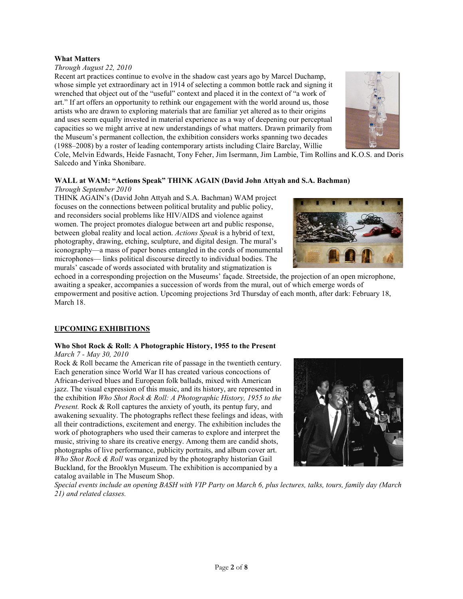## **What Matters**

## *Through August 22, 2010*

Recent art practices continue to evolve in the shadow cast years ago by Marcel Duchamp, whose simple yet extraordinary act in 1914 of selecting a common bottle rack and signing it wrenched that object out of the "useful" context and placed it in the context of "a work of art." If art offers an opportunity to rethink our engagement with the world around us, those artists who are drawn to exploring materials that are familiar yet altered as to their origins and uses seem equally invested in material experience as a way of deepening our perceptual capacities so we might arrive at new understandings of what matters. Drawn primarily from the Museum's permanent collection, the exhibition considers works spanning two decades (1988–2008) by a roster of leading contemporary artists including Claire Barclay, Willie



Cole, Melvin Edwards, Heide Fasnacht, Tony Feher, Jim Isermann, Jim Lambie, Tim Rollins and K.O.S. and Doris Salcedo and Yinka Shonibare.

#### **WALL at WAM: "Actions Speak" THINK AGAIN (David John Attyah and S.A. Bachman)** *Through September 2010*

THINK AGAIN's (David John Attyah and S.A. Bachman) WAM project focuses on the connections between political brutality and public policy, and reconsiders social problems like HIV/AIDS and violence against women. The project promotes dialogue between art and public response, between global reality and local action. *Actions Speak* is a hybrid of text, photography, drawing, etching, sculpture, and digital design. The mural's iconography—a mass of paper bones entangled in the cords of monumental microphones— links political discourse directly to individual bodies. The murals' cascade of words associated with brutality and stigmatization is



echoed in a corresponding projection on the Museums' façade. Streetside, the projection of an open microphone, awaiting a speaker, accompanies a succession of words from the mural, out of which emerge words of empowerment and positive action. Upcoming projections 3rd Thursday of each month, after dark: February 18, March 18.

## **UPCOMING EXHIBITIONS**

## **Who Shot Rock & Roll: A Photographic History, 1955 to the Present**

### *March 7 - May 30, 2010*

Rock & Roll became the American rite of passage in the twentieth century. Each generation since World War II has created various concoctions of African-derived blues and European folk ballads, mixed with American jazz. The visual expression of this music, and its history, are represented in the exhibition *Who Shot Rock & Roll: A Photographic History, 1955 to the Present.* Rock & Roll captures the anxiety of youth, its pentup fury, and awakening sexuality. The photographs reflect these feelings and ideas, with all their contradictions, excitement and energy. The exhibition includes the work of photographers who used their cameras to explore and interpret the music, striving to share its creative energy. Among them are candid shots, photographs of live performance, publicity portraits, and album cover art. *Who Shot Rock & Roll* was organized by the photography historian Gail Buckland, for the Brooklyn Museum. The exhibition is accompanied by a catalog available in The Museum Shop.



*Special events include an opening BASH with VIP Party on March 6, plus lectures, talks, tours, family day (March 21) and related classes.*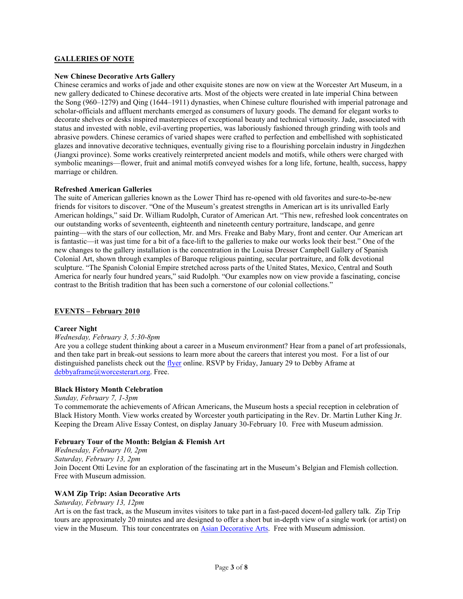## **GALLERIES OF NOTE**

### **New Chinese Decorative Arts Gallery**

Chinese ceramics and works of jade and other exquisite stones are now on view at the Worcester Art Museum, in a new gallery dedicated to Chinese decorative arts. Most of the objects were created in late imperial China between the Song (960–1279) and Qing (1644–1911) dynasties, when Chinese culture flourished with imperial patronage and scholar-officials and affluent merchants emerged as consumers of luxury goods. The demand for elegant works to decorate shelves or desks inspired masterpieces of exceptional beauty and technical virtuosity. Jade, associated with status and invested with noble, evil-averting properties, was laboriously fashioned through grinding with tools and abrasive powders. Chinese ceramics of varied shapes were crafted to perfection and embellished with sophisticated glazes and innovative decorative techniques, eventually giving rise to a flourishing porcelain industry in Jingdezhen (Jiangxi province). Some works creatively reinterpreted ancient models and motifs, while others were charged with symbolic meanings—flower, fruit and animal motifs conveyed wishes for a long life, fortune, health, success, happy marriage or children.

#### **Refreshed American Galleries**

The suite of American galleries known as the Lower Third has re-opened with old favorites and sure-to-be-new friends for visitors to discover. "One of the Museum's greatest strengths in American art is its unrivalled Early American holdings," said Dr. William Rudolph, Curator of American Art. "This new, refreshed look concentrates on our outstanding works of seventeenth, eighteenth and nineteenth century portraiture, landscape, and genre painting—with the stars of our collection, Mr. and Mrs. Freake and Baby Mary, front and center. Our American art is fantastic—it was just time for a bit of a face-lift to the galleries to make our works look their best." One of the new changes to the gallery installation is the concentration in the Louisa Dresser Campbell Gallery of Spanish Colonial Art, shown through examples of Baroque religious painting, secular portraiture, and folk devotional sculpture. "The Spanish Colonial Empire stretched across parts of the United States, Mexico, Central and South America for nearly four hundred years," said Rudolph. "Our examples now on view provide a fascinating, concise contrast to the British tradition that has been such a cornerstone of our colonial collections."

#### **EVENTS – February 2010**

#### **Career Night**

#### *Wednesday, February 3, 5:30-8pm*

Are you a college student thinking about a career in a Museum environment? Hear from a panel of art professionals, and then take part in break-out sessions to learn more about the careers that interest you most. For a list of our distinguished panelists check out the [flyer](http://www.worcesterart.org/WAM_public_images/career_night_2010_flyer.pdf) online. RSVP by Friday, January 29 to Debby Aframe at [debbyaframe@worcesterart.org.](mailto:debbyaframe@worcesterart.org) Free.

#### **Black History Month Celebration**

*Sunday, February 7, 1-3pm* To commemorate the achievements of African Americans, the Museum hosts a special reception in celebration of Black History Month. View works created by Worcester youth participating in the Rev. Dr. Martin Luther King Jr. Keeping the Dream Alive Essay Contest, on display January 30-February 10. Free with Museum admission.

## **February Tour of the Month: Belgian & Flemish Art**

*Wednesday, February 10, 2pm Saturday, February 13, 2pm* Join Docent Otti Levine for an exploration of the fascinating art in the Museum's Belgian and Flemish collection. Free with Museum admission.

#### **WAM Zip Trip: Asian Decorative Arts**

*Saturday, February 13, 12pm*

Art is on the fast track, as the Museum invites visitors to take part in a fast-paced docent-led gallery talk. Zip Trip tours are approximately 20 minutes and are designed to offer a short but in-depth view of a single work (or artist) on view in the Museum. This tour concentrates on [Asian Decorative Arts.](http://www.worcesterart.org/Exhibitions/chinese_decorative.html) Free with Museum admission.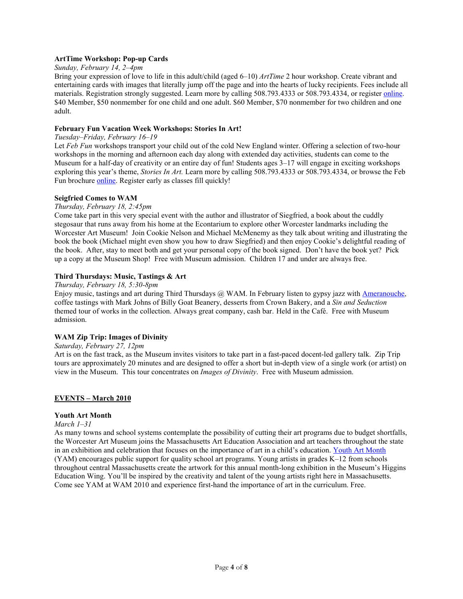## **ArtTime Workshop: Pop-up Cards**

#### *Sunday, February 14, 2–4pm*

Bring your expression of love to life in this adult/child (aged 6–10) *ArtTime* 2 hour workshop. Create vibrant and entertaining cards with images that literally jump off the page and into the hearts of lucky recipients. Fees include all materials. Registration strongly suggested. Learn more by calling 508.793.4333 or 508.793.4334, or register [online.](https://educationreg.worcesterart.org/CourseStatus.awp?~~10WYAT101)  \$40 Member, \$50 nonmember for one child and one adult. \$60 Member, \$70 nonmember for two children and one adult.

#### **February Fun Vacation Week Workshops: Stories In Art!**

#### *Tuesday–Friday, February 16–19*

Let *Feb Fun* workshops transport your child out of the cold New England winter. Offering a selection of two-hour workshops in the morning and afternoon each day along with extended day activities, students can come to the Museum for a half-day of creativity or an entire day of fun! Students ages 3–17 will engage in exciting workshops exploring this year's theme, *Stories In Art.* Learn more by calling 508.793.4333 or 508.793.4334, or browse the Feb Fun brochure [online.](http://www.worcesterart.org/Education/) Register early as classes fill quickly!

#### **Seigfried Comes to WAM**

#### *Thursday, February 18, 2:45pm*

Come take part in this very special event with the author and illustrator of Siegfried, a book about the cuddly stegosaur that runs away from his home at the Econtarium to explore other Worcester landmarks including the Worcester Art Museum! Join Cookie Nelson and Michael McMenemy as they talk about writing and illustrating the book the book (Michael might even show you how to draw Siegfried) and then enjoy Cookie's delightful reading of the book. After, stay to meet both and get your personal copy of the book signed. Don't have the book yet? Pick up a copy at the Museum Shop! Free with Museum admission. Children 17 and under are always free.

## **Third Thursdays: Music, Tastings & Art**

*Thursday, February 18, 5:30-8pm*

Enjoy music, tastings and art during Third Thursdays @ WAM. In February listen to gypsy jazz with [Ameranouche,](http://www.ameranouche.com/)  coffee tastings with Mark Johns of Billy Goat Beanery, desserts from Crown Bakery, and a *Sin and Seduction* themed tour of works in the collection. Always great company, cash bar. Held in the Café. Free with Museum admission.

#### **WAM Zip Trip: Images of Divinity**

## *Saturday, February 27, 12pm*

Art is on the fast track, as the Museum invites visitors to take part in a fast-paced docent-led gallery talk. Zip Trip tours are approximately 20 minutes and are designed to offer a short but in-depth view of a single work (or artist) on view in the Museum. This tour concentrates on *Images of Divinity*. Free with Museum admission.

#### **EVENTS – March 2010**

#### **Youth Art Month**

#### *March 1–31*

As many towns and school systems contemplate the possibility of cutting their art programs due to budget shortfalls, the Worcester Art Museum joins the Massachusetts Art Education Association and art teachers throughout the state in an exhibition and celebration that focuses on the importance of art in a child's education[. Youth Art Month](http://www.massarted.com/yam.html) (YAM) encourages public support for quality school art programs. Young artists in grades K–12 from schools throughout central Massachusetts create the artwork for this annual month-long exhibition in the Museum's Higgins Education Wing. You'll be inspired by the creativity and talent of the young artists right here in Massachusetts. Come see YAM at WAM 2010 and experience first-hand the importance of art in the curriculum. Free.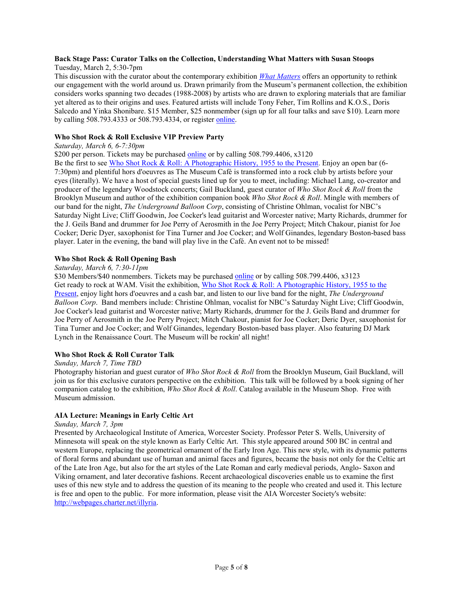## **Back Stage Pass: Curator Talks on the Collection, Understanding What Matters with Susan Stoops**

Tuesday, March 2, 5:30-7pm

This discussion with the curator about the contemporary exhibition *[What Matters](http://www.worcesterart.org/Exhibitions/what_matters.html)* offers an opportunity to rethink our engagement with the world around us. Drawn primarily from the Museum's permanent collection, the exhibition considers works spanning two decades (1988-2008) by artists who are drawn to exploring materials that are familiar yet altered as to their origins and uses. Featured artists will include Tony Feher, Tim Rollins and K.O.S., Doris Salcedo and Yinka Shonibare. \$15 Member, \$25 nonmember (sign up for all four talks and save \$10). Learn more by calling 508.793.4333 or 508.793.4334, or register [online.](https://educationreg.worcesterart.org/wconnect/CourseStatus.awp?~~10WAHST367)

## **Who Shot Rock & Roll Exclusive VIP Preview Party**

## *Saturday, March 6, 6-7:30pm*

\$200 per person. Tickets may be purchased [online](https://worcesterart.ejoinme.org/MyPages/WhoShotRockRollAPhotographicHistory1955/tabid/191932/Default.aspx) or by calling 508.799.4406, x3120

Be the first to see [Who Shot Rock & Roll: A Photographic History, 1955 to the Present.](http://www.worcesterart.org/Exhibitions/who_shot_rock.html) Enjoy an open bar (6- 7:30pm) and plentiful hors d'oeuvres as The Museum Café is transformed into a rock club by artists before your eyes (literally). We have a host of special guests lined up for you to meet, including: Michael Lang, co-creator and producer of the legendary Woodstock concerts; Gail Buckland, guest curator of *Who Shot Rock & Roll* from the Brooklyn Museum and author of the exhibition companion book *Who Shot Rock & Roll*. Mingle with members of our band for the night, *The Underground Balloon Corp*, consisting of Christine Ohlman, vocalist for NBC's Saturday Night Live; Cliff Goodwin, Joe Cocker's lead guitarist and Worcester native; Marty Richards, drummer for the J. Geils Band and drummer for Joe Perry of Aerosmith in the Joe Perry Project; Mitch Chakour, pianist for Joe Cocker; Deric Dyer, saxophonist for Tina Turner and Joe Cocker; and Wolf Ginandes, legendary Boston-based bass player. Later in the evening, the band will play live in the Café. An event not to be missed!

## **Who Shot Rock & Roll Opening Bash**

#### *Saturday, March 6, 7:30-11pm*

\$30 Members/\$40 nonmembers. Tickets may be purchased [online](https://worcesterart.ejoinme.org/MyPages/WhoShotRockRollBash/tabid/193992/Default.aspx) or by calling 508.799.4406, x3123 Get ready to rock at WAM. Visit the exhibition, Who Shot Rock & Roll: A Photographic History, 1955 to the [Present,](http://www.worcesterart.org/Exhibitions/who_shot_rock.html) enjoy light hors d'oeuvres and a cash bar, and listen to our live band for the night, *The Underground Balloon Corp*. Band members include: Christine Ohlman, vocalist for NBC's Saturday Night Live; Cliff Goodwin, Joe Cocker's lead guitarist and Worcester native; Marty Richards, drummer for the J. Geils Band and drummer for Joe Perry of Aerosmith in the Joe Perry Project; Mitch Chakour, pianist for Joe Cocker; Deric Dyer, saxophonist for Tina Turner and Joe Cocker; and Wolf Ginandes, legendary Boston-based bass player. Also featuring DJ Mark Lynch in the Renaissance Court. The Museum will be rockin' all night!

## **Who Shot Rock & Roll Curator Talk**

#### *Sunday, March 7, Time TBD*

Photography historian and guest curator of *Who Shot Rock & Roll* from the Brooklyn Museum, Gail Buckland, will join us for this exclusive curators perspective on the exhibition. This talk will be followed by a book signing of her companion catalog to the exhibition, *Who Shot Rock & Roll*. Catalog available in the Museum Shop. Free with Museum admission.

## **AIA Lecture: Meanings in Early Celtic Art**

#### *Sunday, March 7, 3pm*

Presented by Archaeological Institute of America, Worcester Society. Professor Peter S. Wells, University of Minnesota will speak on the style known as Early Celtic Art. This style appeared around 500 BC in central and western Europe, replacing the geometrical ornament of the Early Iron Age. This new style, with its dynamic patterns of floral forms and abundant use of human and animal faces and figures, became the basis not only for the Celtic art of the Late Iron Age, but also for the art styles of the Late Roman and early medieval periods, Anglo- Saxon and Viking ornament, and later decorative fashions. Recent archaeological discoveries enable us to examine the first uses of this new style and to address the question of its meaning to the people who created and used it. This lecture is free and open to the public. For more information, please visit the AIA Worcester Society's website: [http://webpages.charter.net/illyria.](http://webpages.charter.net/illyria)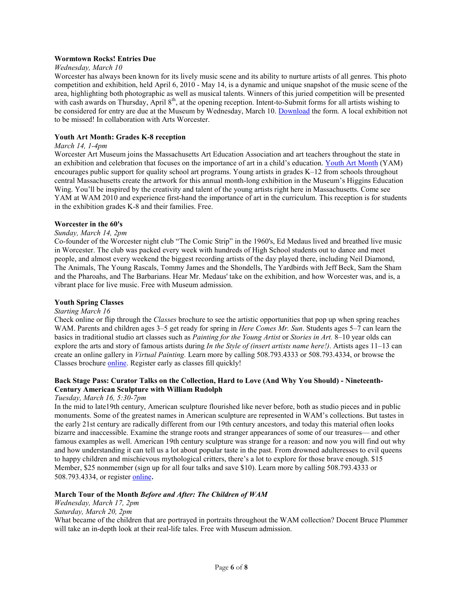## **Wormtown Rocks! Entries Due**

## *Wednesday, March 10*

Worcester has always been known for its lively music scene and its ability to nurture artists of all genres. This photo competition and exhibition, held April 6, 2010 - May 14, is a dynamic and unique snapshot of the music scene of the area, highlighting both photographic as well as musical talents. Winners of this juried competition will be presented with cash awards on Thursday, April 8<sup>th</sup>, at the opening reception. Intent-to-Submit forms for all artists wishing to be considered for entry are due at the Museum by Wednesday, March 10. [Download](http://www.worcesterart.org/WAM_public_images/wormtown_rocks_2010.pdf) the form. A local exhibition not to be missed! In collaboration with Arts Worcester.

## **Youth Art Month: Grades K-8 reception**

#### *March 14, 1-4pm*

Worcester Art Museum joins the Massachusetts Art Education Association and art teachers throughout the state in an exhibition and celebration that focuses on the importance of art in a child's education. [Youth Art Month](http://www.massarted.com/yam.html) (YAM) encourages public support for quality school art programs. Young artists in grades K–12 from schools throughout central Massachusetts create the artwork for this annual month-long exhibition in the Museum's Higgins Education Wing. You'll be inspired by the creativity and talent of the young artists right here in Massachusetts. Come see YAM at WAM 2010 and experience first-hand the importance of art in the curriculum. This reception is for students in the exhibition grades K-8 and their families. Free.

#### **Worcester in the 60's**

## *Sunday, March 14, 2pm*

Co-founder of the Worcester night club "The Comic Strip" in the 1960's, Ed Medaus lived and breathed live music in Worcester. The club was packed every week with hundreds of High School students out to dance and meet people, and almost every weekend the biggest recording artists of the day played there, including Neil Diamond, The Animals, The Young Rascals, Tommy James and the Shondells, The Yardbirds with Jeff Beck, Sam the Sham and the Pharoahs, and The Barbarians. Hear Mr. Medaus' take on the exhibition, and how Worcester was, and is, a vibrant place for live music. Free with Museum admission.

## **Youth Spring Classes**

#### *Starting March 16*

Check online or flip through the *Classes* brochure to see the artistic opportunities that pop up when spring reaches WAM. Parents and children ages 3–5 get ready for spring in *Here Comes Mr. Sun*. Students ages 5–7 can learn the basics in traditional studio art classes such as *Painting for the Young Artist* or *Stories in Art.* 8–10 year olds can explore the arts and story of famous artists during *In the Style of (insert artists name here!)*. Artists ages 11–13 can create an online gallery in *Virtual Painting.* Learn more by calling 508.793.4333 or 508.793.4334, or browse the Classes brochure [online.](http://www.worcesterart.org/Education/) Register early as classes fill quickly!

## **Back Stage Pass: Curator Talks on the Collection, Hard to Love (And Why You Should) - Nineteenth-Century American Sculpture with William Rudolph**

*Tuesday, March 16, 5:30-7pm*

In the mid to late19th century, American sculpture flourished like never before, both as studio pieces and in public monuments. Some of the greatest names in American sculpture are represented in WAM's collections. But tastes in the early 21st century are radically different from our 19th century ancestors, and today this material often looks bizarre and inaccessible. Examine the strange roots and stranger appearances of some of our treasures— and other famous examples as well. American 19th century sculpture was strange for a reason: and now you will find out why and how understanding it can tell us a lot about popular taste in the past. From drowned adulteresses to evil queens to happy children and mischievous mythological critters, there's a lot to explore for those brave enough. \$15 Member, \$25 nonmember (sign up for all four talks and save \$10). Learn more by calling 508.793.4333 or 508.793.4334, or register [online](https://educationreg.worcesterart.org/wconnect/CourseStatus.awp?~~10WAHST368).

## **March Tour of the Month** *Before and After: The Children of WAM*

*Wednesday, March 17, 2pm Saturday, March 20, 2pm*

What became of the children that are portrayed in portraits throughout the WAM collection? Docent Bruce Plummer will take an in-depth look at their real-life tales. Free with Museum admission.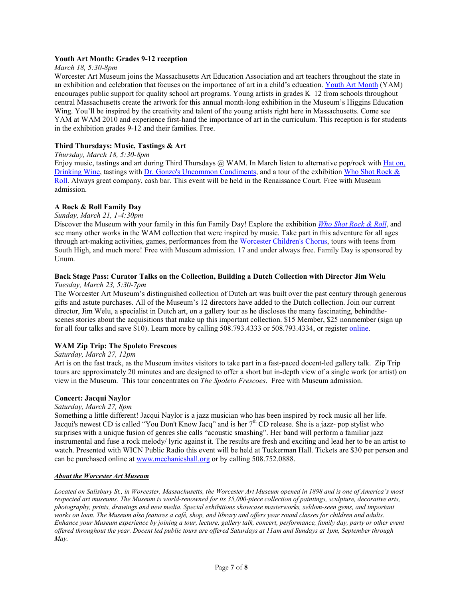## **Youth Art Month: Grades 9-12 reception**

#### *March 18, 5:30-8pm*

Worcester Art Museum joins the Massachusetts Art Education Association and art teachers throughout the state in an exhibition and celebration that focuses on the importance of art in a child's education. [Youth Art Month](http://www.massarted.com/yam.html) (YAM) encourages public support for quality school art programs. Young artists in grades K–12 from schools throughout central Massachusetts create the artwork for this annual month-long exhibition in the Museum's Higgins Education Wing. You'll be inspired by the creativity and talent of the young artists right here in Massachusetts. Come see YAM at WAM 2010 and experience first-hand the importance of art in the curriculum. This reception is for students in the exhibition grades 9-12 and their families. Free.

## **Third Thursdays: Music, Tastings & Art**

#### *Thursday, March 18, 5:30-8pm*

Enjoy music, tastings and art during Third Thursdays  $\omega$  WAM. In March listen to alternative pop/rock with Hat on, [Drinking Wine,](http://www.hatondrinkingwine.com/) tastings with [Dr. Gonzo's Uncommon Condiments,](http://www.drgonzos.com/) and a tour of the exhibition Who Shot Rock & [Roll.](http://www.worcesterart.org/Exhibitions/who_shot_rock.html) Always great company, cash bar. This event will be held in the Renaissance Court. Free with Museum admission.

#### **A Rock & Roll Family Day**

#### *Sunday, March 21, 1-4:30pm*

Discover the Museum with your family in this fun Family Day! Explore the exhibition *[Who Shot Rock & Roll](http://www.worcesterart.org/Exhibitions/who_shot_rock.html)*, and see many other works in the WAM collection that were inspired by music. Take part in this adventure for all ages through art-making activities, games, performances from the [Worcester Children's Chorus,](http://www.worcesterchildrenschorus.com/) tours with teens from South High, and much more! Free with Museum admission. 17 and under always free. Family Day is sponsored by Unum.

#### **Back Stage Pass: Curator Talks on the Collection, Building a Dutch Collection with Director Jim Welu** *Tuesday, March 23, 5:30-7pm*

The Worcester Art Museum's distinguished collection of Dutch art was built over the past century through generous gifts and astute purchases. All of the Museum's 12 directors have added to the Dutch collection. Join our current director, Jim Welu, a specialist in Dutch art, on a gallery tour as he discloses the many fascinating, behindthescenes stories about the acquisitions that make up this important collection. \$15 Member, \$25 nonmember (sign up for all four talks and save \$10). Learn more by calling 508.793.4333 or 508.793.4334, or register [online.](https://educationreg.worcesterart.org/wconnect/CourseStatus.awp?~~10WAHST366) 

## **WAM Zip Trip: The Spoleto Frescoes**

#### *Saturday, March 27, 12pm*

Art is on the fast track, as the Museum invites visitors to take part in a fast-paced docent-led gallery talk. Zip Trip tours are approximately 20 minutes and are designed to offer a short but in-depth view of a single work (or artist) on view in the Museum. This tour concentrates on *The Spoleto Frescoes*. Free with Museum admission.

## **Concert: Jacqui Naylor**

#### *Saturday, March 27, 8pm*

Something a little different! Jacqui Naylor is a jazz musician who has been inspired by rock music all her life. Jacqui's newest CD is called "You Don't Know Jacq" and is her 7<sup>th</sup> CD release. She is a jazz- pop stylist who surprises with a unique fusion of genres she calls "acoustic smashing". Her band will perform a familiar jazz instrumental and fuse a rock melody/ lyric against it. The results are fresh and exciting and lead her to be an artist to watch. Presented with WICN Public Radio this event will be held at Tuckerman Hall. Tickets are \$30 per person and can be purchased online at [www.mechanicshall.org](http://www.mechanicshall.org/) or by calling 508.752.0888.

#### *About the Worcester Art Museum*

*Located on Salisbury St., in Worcester, Massachusetts, the Worcester Art Museum opened in 1898 and is one of America's most respected art museums. The Museum is world-renowned for its 35,000-piece collection of paintings, sculpture, decorative arts, photography, prints, drawings and new media. Special exhibitions showcase masterworks, seldom-seen gems, and important works on loan. The Museum also features a café, shop, and library and offers year round classes for children and adults. Enhance your Museum experience by joining a tour, lecture, gallery talk, concert, performance, family day, party or other event offered throughout the year. Docent led public tours are offered Saturdays at 11am and Sundays at 1pm, September through May.*